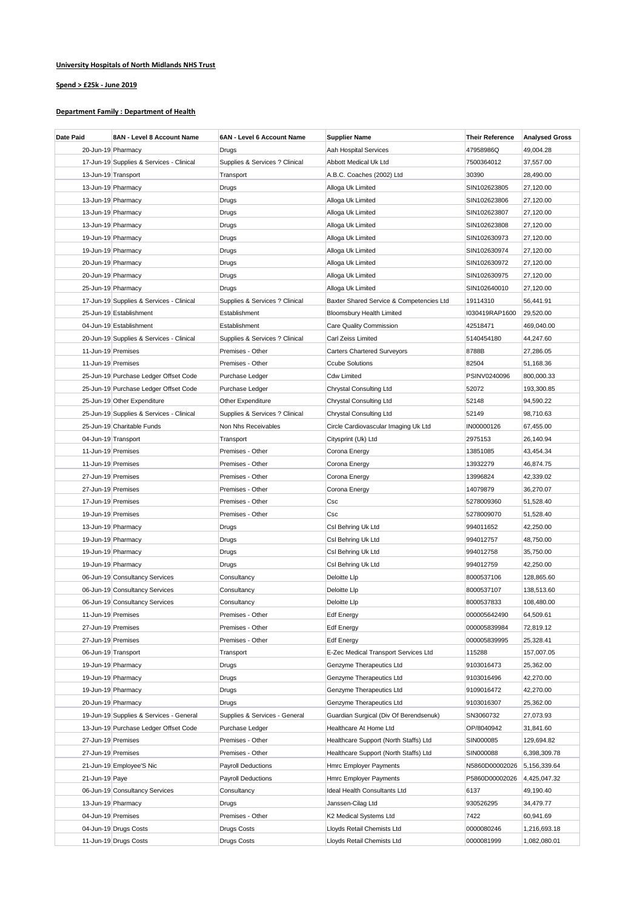## **University Hospitals of North Midlands NHS Trust**

## **Spend > £25k - June 2019**

## **Department Family : Department of Health**

| <b>Date Paid</b>   | 8AN - Level 8 Account Name               | 6AN - Level 6 Account Name     | <b>Supplier Name</b>                     | <b>Their Reference</b> | <b>Analysed Gross</b> |
|--------------------|------------------------------------------|--------------------------------|------------------------------------------|------------------------|-----------------------|
|                    | 20-Jun-19 Pharmacy                       | Drugs                          | Aah Hospital Services                    | 47958986Q              | 49,004.28             |
|                    | 17-Jun-19 Supplies & Services - Clinical | Supplies & Services ? Clinical | Abbott Medical Uk Ltd                    | 7500364012             | 37,557.00             |
|                    | 13-Jun-19 Transport                      | Transport                      | A.B.C. Coaches (2002) Ltd                | 30390                  | 28,490.00             |
|                    | 13-Jun-19 Pharmacy                       | Drugs                          | Alloga Uk Limited                        | SIN102623805           | 27,120.00             |
|                    | 13-Jun-19 Pharmacy                       | Drugs                          | Alloga Uk Limited                        | SIN102623806           | 27,120.00             |
|                    | 13-Jun-19 Pharmacy                       | Drugs                          | Alloga Uk Limited                        | SIN102623807           | 27,120.00             |
|                    | 13-Jun-19 Pharmacy                       | Drugs                          | Alloga Uk Limited                        | SIN102623808           | 27,120.00             |
|                    | 19-Jun-19 Pharmacy                       | Drugs                          | Alloga Uk Limited                        | SIN102630973           | 27,120.00             |
|                    | 19-Jun-19 Pharmacy                       | Drugs                          | Alloga Uk Limited                        | SIN102630974           | 27,120.00             |
|                    | 20-Jun-19 Pharmacy                       | Drugs                          | Alloga Uk Limited                        | SIN102630972           | 27,120.00             |
|                    | 20-Jun-19 Pharmacy                       | Drugs                          | Alloga Uk Limited                        | SIN102630975           | 27,120.00             |
|                    | 25-Jun-19 Pharmacy                       | Drugs                          | Alloga Uk Limited                        | SIN102640010           | 27,120.00             |
|                    | 17-Jun-19 Supplies & Services - Clinical | Supplies & Services ? Clinical | Baxter Shared Service & Competencies Ltd | 19114310               | 56,441.91             |
|                    | 25-Jun-19 Establishment                  | Establishment                  | <b>Bloomsbury Health Limited</b>         | I030419RAP1600         | 29,520.00             |
|                    | 04-Jun-19 Establishment                  | Establishment                  | <b>Care Quality Commission</b>           | 42518471               | 469,040.00            |
|                    | 20-Jun-19 Supplies & Services - Clinical | Supplies & Services ? Clinical | Carl Zeiss Limited                       | 5140454180             | 44,247.60             |
| 11-Jun-19 Premises |                                          | Premises - Other               | <b>Carters Chartered Surveyors</b>       | 8788B                  | 27,286.05             |
| 11-Jun-19 Premises |                                          | Premises - Other               | <b>Ccube Solutions</b>                   | 82504                  | 51,168.36             |
|                    | 25-Jun-19 Purchase Ledger Offset Code    | Purchase Ledger                | <b>Cdw Limited</b>                       | PSINV0240096           | 800,000.33            |
|                    | 25-Jun-19 Purchase Ledger Offset Code    | Purchase Ledger                | <b>Chrystal Consulting Ltd</b>           | 52072                  | 193,300.85            |
|                    | 25-Jun-19 Other Expenditure              | Other Expenditure              | <b>Chrystal Consulting Ltd</b>           | 52148                  | 94,590.22             |
|                    | 25-Jun-19 Supplies & Services - Clinical | Supplies & Services ? Clinical | <b>Chrystal Consulting Ltd</b>           | 52149                  | 98,710.63             |
|                    | 25-Jun-19 Charitable Funds               | Non Nhs Receivables            | Circle Cardiovascular Imaging Uk Ltd     | IN00000126             | 67,455.00             |
|                    | 04-Jun-19 Transport                      | Transport                      | Citysprint (Uk) Ltd                      | 2975153                | 26,140.94             |
| 11-Jun-19 Premises |                                          | Premises - Other               | Corona Energy                            | 13851085               | 43,454.34             |
| 11-Jun-19 Premises |                                          | Premises - Other               | Corona Energy                            | 13932279               | 46,874.75             |
| 27-Jun-19 Premises |                                          | Premises - Other               | Corona Energy                            | 13996824               | 42,339.02             |
| 27-Jun-19 Premises |                                          | Premises - Other               | Corona Energy                            | 14079879               | 36,270.07             |
| 17-Jun-19 Premises |                                          | Premises - Other               | Csc                                      | 5278009360             | 51,528.40             |
| 19-Jun-19 Premises |                                          | Premises - Other               | Csc                                      | 5278009070             | 51,528.40             |
|                    | 13-Jun-19 Pharmacy                       | Drugs                          | Csl Behring Uk Ltd                       | 994011652              | 42,250.00             |
|                    | 19-Jun-19 Pharmacy                       | Drugs                          | Csl Behring Uk Ltd                       | 994012757              | 48,750.00             |
|                    | 19-Jun-19 Pharmacy                       | Drugs                          | Csl Behring Uk Ltd                       | 994012758              | 35,750.00             |
|                    | 19-Jun-19 Pharmacy                       | Drugs                          | Csl Behring Uk Ltd                       | 994012759              | 42,250.00             |
|                    | 06-Jun-19 Consultancy Services           | Consultancy                    | Deloitte Llp                             | 8000537106             | 128,865.60            |
|                    | 06-Jun-19 Consultancy Services           | Consultancy                    | Deloitte Llp                             | 8000537107             | 138,513.60            |
|                    | 06-Jun-19 Consultancy Services           | Consultancy                    | Deloitte Llp                             | 8000537833             | 108,480.00            |
| 11-Jun-19 Premises |                                          | Premises - Other               | <b>Edf Energy</b>                        | 000005642490           | 64,509.61             |
| 27-Jun-19 Premises |                                          | Premises - Other               | <b>Edf Energy</b>                        | 000005839984           | 72,819.12             |
| 27-Jun-19 Premises |                                          | Premises - Other               | <b>Edf Energy</b>                        | 000005839995           | 25,328.41             |
|                    | 06-Jun-19 Transport                      | Transport                      | E-Zec Medical Transport Services Ltd     | 115288                 | 157,007.05            |
|                    | 19-Jun-19 Pharmacy                       | Drugs                          | Genzyme Therapeutics Ltd                 | 9103016473             | 25,362.00             |
|                    | 19-Jun-19 Pharmacy                       | <b>Drugs</b>                   | Genzyme Therapeutics Ltd                 | 9103016496             | 42,270.00             |
|                    | 19-Jun-19 Pharmacy                       | Drugs                          | Genzyme Therapeutics Ltd                 | 9109016472             | 42,270.00             |
|                    | 20-Jun-19 Pharmacy                       | Drugs                          | Genzyme Therapeutics Ltd                 | 9103016307             | 25,362.00             |
|                    | 19-Jun-19 Supplies & Services - General  | Supplies & Services - General  | Guardian Surgical (Div Of Berendsenuk)   | SN3060732              | 27,073.93             |
|                    | 13-Jun-19 Purchase Ledger Offset Code    | Purchase Ledger                | Healthcare At Home Ltd                   | OP/8040942             | 31,841.60             |
| 27-Jun-19 Premises |                                          | Premises - Other               | Healthcare Support (North Staffs) Ltd    | SIN000085              | 129,694.82            |
| 27-Jun-19 Premises |                                          | Premises - Other               | Healthcare Support (North Staffs) Ltd    | SIN000088              | 6,398,309.78          |
|                    | 21-Jun-19 Employee'S Nic                 | <b>Payroll Deductions</b>      | Hmrc Employer Payments                   | N5860D00002026         | 5,156,339.64          |
| 21-Jun-19 Paye     |                                          | <b>Payroll Deductions</b>      | Hmrc Employer Payments                   | P5860D00002026         | 4,425,047.32          |
|                    | 06-Jun-19 Consultancy Services           | Consultancy                    | Ideal Health Consultants Ltd             | 6137                   | 49,190.40             |
|                    | 13-Jun-19 Pharmacy                       | Drugs                          | Janssen-Cilag Ltd                        | 930526295              | 34,479.77             |
| 04-Jun-19 Premises |                                          | Premises - Other               | K2 Medical Systems Ltd                   | 7422                   | 60,941.69             |
|                    | 04-Jun-19 Drugs Costs                    | Drugs Costs                    | Lloyds Retail Chemists Ltd               | 0000080246             | 1,216,693.18          |
|                    | 11-Jun-19 Drugs Costs                    | Drugs Costs                    | Lloyds Retail Chemists Ltd               | 0000081999             | 1,082,080.01          |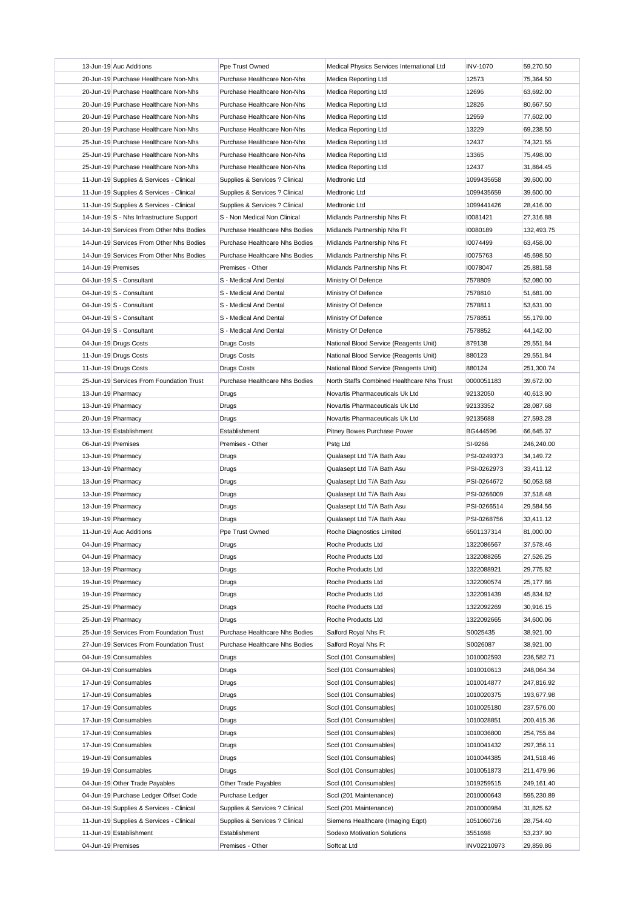|                    | 13-Jun-19 Auc Additions                  | Ppe Trust Owned                | Medical Physics Services International Ltd | <b>INV-1070</b> | 59,270.50  |
|--------------------|------------------------------------------|--------------------------------|--------------------------------------------|-----------------|------------|
|                    | 20-Jun-19 Purchase Healthcare Non-Nhs    | Purchase Healthcare Non-Nhs    | Medica Reporting Ltd                       | 12573           | 75,364.50  |
|                    | 20-Jun-19 Purchase Healthcare Non-Nhs    | Purchase Healthcare Non-Nhs    | Medica Reporting Ltd                       | 12696           | 63,692.00  |
|                    | 20-Jun-19 Purchase Healthcare Non-Nhs    | Purchase Healthcare Non-Nhs    | Medica Reporting Ltd                       | 12826           | 80,667.50  |
|                    | 20-Jun-19 Purchase Healthcare Non-Nhs    | Purchase Healthcare Non-Nhs    | Medica Reporting Ltd                       | 12959           | 77,602.00  |
|                    | 20-Jun-19 Purchase Healthcare Non-Nhs    | Purchase Healthcare Non-Nhs    | Medica Reporting Ltd                       | 13229           | 69,238.50  |
|                    | 25-Jun-19 Purchase Healthcare Non-Nhs    | Purchase Healthcare Non-Nhs    | Medica Reporting Ltd                       | 12437           | 74,321.55  |
|                    | 25-Jun-19 Purchase Healthcare Non-Nhs    | Purchase Healthcare Non-Nhs    | Medica Reporting Ltd                       | 13365           | 75,498.00  |
|                    | 25-Jun-19 Purchase Healthcare Non-Nhs    | Purchase Healthcare Non-Nhs    | Medica Reporting Ltd                       | 12437           | 31,864.45  |
|                    | 11-Jun-19 Supplies & Services - Clinical | Supplies & Services ? Clinical | Medtronic Ltd                              | 1099435658      | 39,600.00  |
|                    | 11-Jun-19 Supplies & Services - Clinical | Supplies & Services ? Clinical | Medtronic Ltd                              | 1099435659      | 39,600.00  |
|                    | 11-Jun-19 Supplies & Services - Clinical | Supplies & Services ? Clinical | Medtronic Ltd                              | 1099441426      | 28,416.00  |
|                    | 14-Jun-19 S - Nhs Infrastructure Support | S - Non Medical Non Clinical   | Midlands Partnership Nhs Ft                | 10081421        | 27,316.88  |
|                    | 14-Jun-19 Services From Other Nhs Bodies | Purchase Healthcare Nhs Bodies | Midlands Partnership Nhs Ft                | 10080189        | 132,493.75 |
|                    | 14-Jun-19 Services From Other Nhs Bodies | Purchase Healthcare Nhs Bodies | Midlands Partnership Nhs Ft                | 10074499        | 63,458.00  |
|                    |                                          |                                |                                            |                 |            |
|                    | 14-Jun-19 Services From Other Nhs Bodies | Purchase Healthcare Nhs Bodies | Midlands Partnership Nhs Ft                | 10075763        | 45,698.50  |
| 14-Jun-19 Premises |                                          | Premises - Other               | Midlands Partnership Nhs Ft                | 10078047        | 25,881.58  |
|                    | 04-Jun-19 $ S -$ Consultant              | S - Medical And Dental         | Ministry Of Defence                        | 7578809         | 52,080.00  |
|                    | 04-Jun-19 $ S -$ Consultant              | S - Medical And Dental         | Ministry Of Defence                        | 7578810         | 51,681.00  |
|                    | 04-Jun-19 $ S -$ Consultant              | S - Medical And Dental         | Ministry Of Defence                        | 7578811         | 53,631.00  |
|                    | 04-Jun-19 $ S -$ Consultant              | S - Medical And Dental         | Ministry Of Defence                        | 7578851         | 55,179.00  |
|                    | 04-Jun-19 $ S -$ Consultant              | S - Medical And Dental         | Ministry Of Defence                        | 7578852         | 44,142.00  |
|                    | 04-Jun-19 Drugs Costs                    | <b>Drugs Costs</b>             | National Blood Service (Reagents Unit)     | 879138          | 29,551.84  |
|                    | 11-Jun-19 Drugs Costs                    | <b>Drugs Costs</b>             | National Blood Service (Reagents Unit)     | 880123          | 29,551.84  |
|                    | 11-Jun-19 Drugs Costs                    | <b>Drugs Costs</b>             | National Blood Service (Reagents Unit)     | 880124          | 251,300.74 |
|                    | 25-Jun-19 Services From Foundation Trust | Purchase Healthcare Nhs Bodies | North Staffs Combined Healthcare Nhs Trust | 0000051183      | 39,672.00  |
|                    | 13-Jun-19 Pharmacy                       | Drugs                          | Novartis Pharmaceuticals Uk Ltd            | 92132050        | 40,613.90  |
|                    | 13-Jun-19 Pharmacy                       | Drugs                          | Novartis Pharmaceuticals Uk Ltd            | 92133352        | 28,087.68  |
|                    | 20-Jun-19 Pharmacy                       | Drugs                          | Novartis Pharmaceuticals Uk Ltd            | 92135688        | 27,593.28  |
|                    | 13-Jun-19 Establishment                  | Establishment                  | Pitney Bowes Purchase Power                | BG444596        | 66,645.37  |
| 06-Jun-19 Premises |                                          | Premises - Other               | Pstg Ltd                                   | SI-9266         | 246,240.00 |
|                    | 13-Jun-19 Pharmacy                       | Drugs                          | Qualasept Ltd T/A Bath Asu                 | PSI-0249373     | 34,149.72  |
|                    | 13-Jun-19 Pharmacy                       | Drugs                          | Qualasept Ltd T/A Bath Asu                 | PSI-0262973     | 33,411.12  |
| 13-Jun-19 Pharmacy |                                          |                                |                                            |                 |            |
|                    |                                          | Drugs                          | Qualasept Ltd T/A Bath Asu                 | PSI-0264672     | 50,053.68  |
|                    |                                          |                                |                                            | PSI-0266009     |            |
|                    | 13-Jun-19 Pharmacy                       | Drugs                          | Qualasept Ltd T/A Bath Asu                 |                 | 37,518.48  |
|                    | 13-Jun-19 Pharmacy                       | Drugs                          | Qualasept Ltd T/A Bath Asu                 | PSI-0266514     | 29,584.56  |
|                    | 19-Jun-19 Pharmacy                       | Drugs                          | Qualasept Ltd T/A Bath Asu                 | PSI-0268756     | 33,411.12  |
|                    | 11-Jun-19 Auc Additions                  | Ppe Trust Owned                | Roche Diagnostics Limited                  | 6501137314      | 81,000.00  |
|                    | 04-Jun-19 Pharmacy                       | Drugs                          | Roche Products Ltd                         | 1322086567      | 37,578.46  |
|                    | 04-Jun-19 Pharmacy                       | Drugs                          | Roche Products Ltd                         | 1322088265      | 27,526.25  |
|                    | 13-Jun-19 Pharmacy                       | Drugs                          | Roche Products Ltd                         | 1322088921      | 29,775.82  |
|                    | 19-Jun-19 Pharmacy                       | <b>Drugs</b>                   | Roche Products Ltd                         | 1322090574      | 25,177.86  |
|                    | 19-Jun-19 Pharmacy                       | Drugs                          | Roche Products Ltd                         | 1322091439      | 45,834.82  |
|                    | 25-Jun-19 Pharmacy                       | Drugs                          | Roche Products Ltd                         | 1322092269      | 30,916.15  |
|                    | 25-Jun-19 Pharmacy                       | <b>Drugs</b>                   | Roche Products Ltd                         | 1322092665      | 34,600.06  |
|                    | 25-Jun-19 Services From Foundation Trust | Purchase Healthcare Nhs Bodies | Salford Royal Nhs Ft                       | S0025435        | 38,921.00  |
|                    | 27-Jun-19 Services From Foundation Trust | Purchase Healthcare Nhs Bodies | Salford Royal Nhs Ft                       | S0026087        | 38,921.00  |
|                    | 04-Jun-19 Consumables                    | Drugs                          | Sccl (101 Consumables)                     | 1010002593      | 236,582.71 |
|                    | 04-Jun-19 Consumables                    | Drugs                          | Sccl (101 Consumables)                     | 1010010613      | 248,064.34 |
|                    | 17-Jun-19 Consumables                    | Drugs                          | Sccl (101 Consumables)                     | 1010014877      | 247,816.92 |
|                    | 17-Jun-19 Consumables                    | Drugs                          | Sccl (101 Consumables)                     | 1010020375      | 193,677.98 |
|                    | 17-Jun-19 Consumables                    | Drugs                          | Sccl (101 Consumables)                     | 1010025180      | 237,576.00 |
|                    | 17-Jun-19 Consumables                    | Drugs                          | Sccl (101 Consumables)                     | 1010028851      | 200,415.36 |
|                    | 17-Jun-19 Consumables                    | Drugs                          | Sccl (101 Consumables)                     | 1010036800      | 254,755.84 |
|                    | 17-Jun-19 Consumables                    | Drugs                          | Sccl (101 Consumables)                     | 1010041432      | 297,356.11 |
|                    | 19-Jun-19 Consumables                    | Drugs                          | Sccl (101 Consumables)                     | 1010044385      | 241,518.46 |
|                    | 19-Jun-19 Consumables                    | Drugs                          | Sccl (101 Consumables)                     | 1010051873      | 211,479.96 |
|                    | 04-Jun-19 Other Trade Payables           | Other Trade Payables           | Sccl (101 Consumables)                     | 1019259515      | 249,161.40 |
|                    | 04-Jun-19 Purchase Ledger Offset Code    | Purchase Ledger                | Sccl (201 Maintenance)                     | 2010000643      | 595,230.89 |
|                    | 04-Jun-19 Supplies & Services - Clinical | Supplies & Services ? Clinical | Sccl (201 Maintenance)                     | 2010000984      | 31,825.62  |
|                    | 11-Jun-19 Supplies & Services - Clinical | Supplies & Services ? Clinical | Siemens Healthcare (Imaging Eqpt)          | 1051060716      | 28,754.40  |
|                    | 11-Jun-19 Establishment                  | Establishment                  | <b>Sodexo Motivation Solutions</b>         | 3551698         | 53,237.90  |